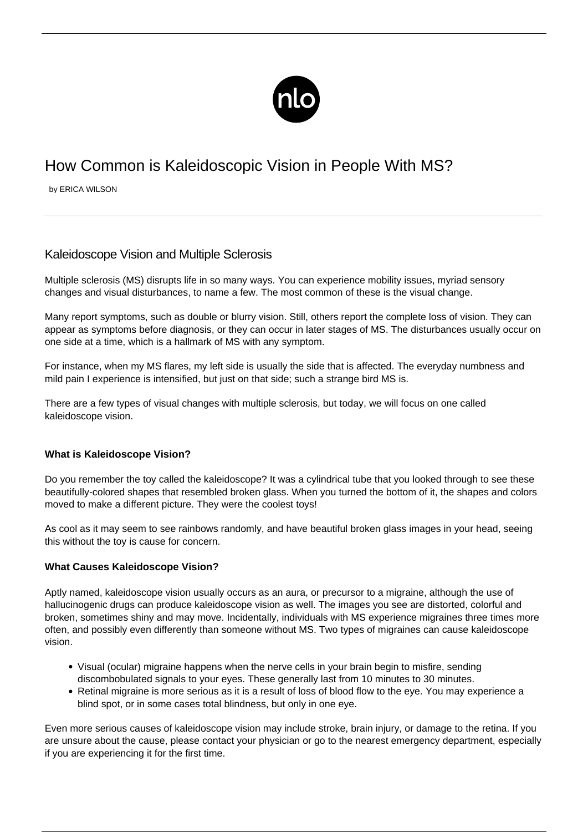

# How Common is Kaleidoscopic Vision in People With MS?

by ERICA WILSON

## Kaleidoscope Vision and Multiple Sclerosis

Multiple sclerosis (MS) disrupts life in so many ways. You can experience mobility issues, myriad sensory changes and visual disturbances, to name a few. The most common of these is the visual change.

Many report symptoms, such as double or blurry vision. Still, others report the complete loss of vision. They can appear as symptoms before diagnosis, or they can occur in later stages of MS. The disturbances usually occur on one side at a time, which is a hallmark of MS with any symptom.

For instance, when my MS flares, my left side is usually the side that is affected. The everyday numbness and mild pain I experience is intensified, but just on that side; such a strange bird MS is.

There are a few types of [visual changes with multiple sclerosis,](/vision-problems-and-ms/) but today, we will focus on one called kaleidoscope vision.

#### **What is Kaleidoscope Vision?**

Do you remember the toy called the kaleidoscope? It was a cylindrical tube that you looked through to see these beautifully-colored shapes that resembled broken glass. When you turned the bottom of it, the shapes and colors moved to make a different picture. They were the coolest toys!

As cool as it may seem to see rainbows randomly, and have beautiful broken glass images in your head, seeing this without the toy is cause for concern.

#### **What Causes Kaleidoscope Vision?**

Aptly named, kaleidoscope vision usually occurs as an aura, or precursor to a migraine, although the use of hallucinogenic drugs can produce kaleidoscope vision as well. The images you see are distorted, colorful and broken, sometimes shiny and may move. Incidentally, individuals with MS experience migraines three times more often, and possibly even differently than someone without MS. Two types of migraines can cause kaleidoscope vision.

- Visual (ocular) migraine happens when the nerve cells in your brain begin to misfire, sending discombobulated signals to your eyes. These generally last from 10 minutes to 30 minutes.
- Retinal migraine is more serious as it is a result of loss of blood flow to the eye. You may experience a blind spot, or in some cases total blindness, but only in one eye.

Even more serious causes of kaleidoscope vision may include stroke, brain injury, or damage to the retina. If you are unsure about the cause, please contact your physician or go to the nearest emergency department, especially if you are experiencing it for the first time.